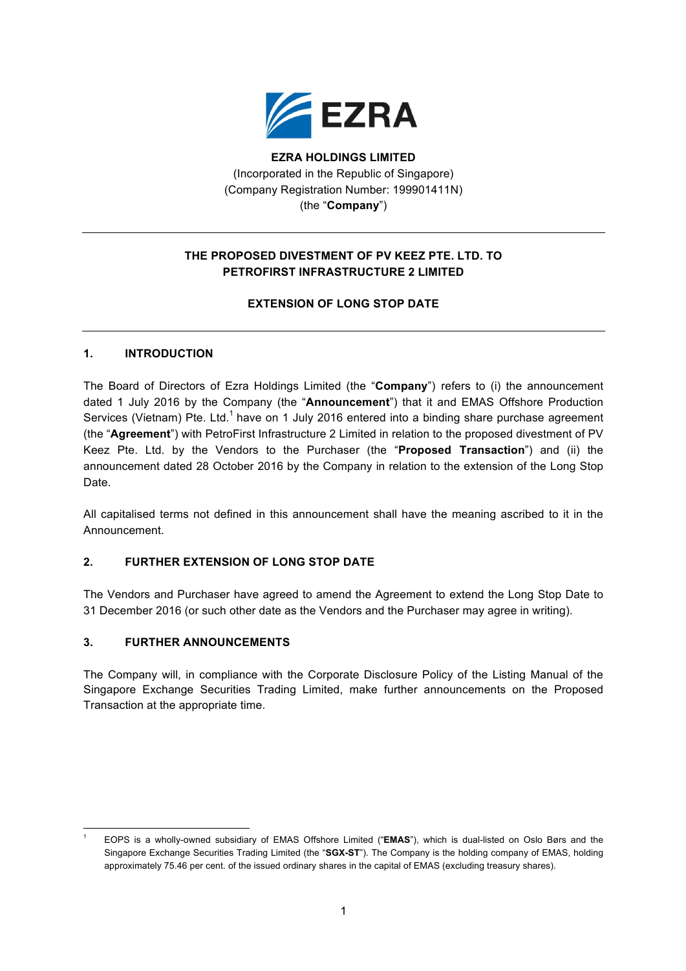

**EZRA HOLDINGS LIMITED** (Incorporated in the Republic of Singapore) (Company Registration Number: 199901411N) (the "**Company**")

# **THE PROPOSED DIVESTMENT OF PV KEEZ PTE. LTD. TO PETROFIRST INFRASTRUCTURE 2 LIMITED**

## **EXTENSION OF LONG STOP DATE**

### **1. INTRODUCTION**

The Board of Directors of Ezra Holdings Limited (the "**Company**") refers to (i) the announcement dated 1 July 2016 by the Company (the "**Announcement**") that it and EMAS Offshore Production Services (Vietnam) Pte. Ltd.<sup>1</sup> have on 1 July 2016 entered into a binding share purchase agreement (the "**Agreement**") with PetroFirst Infrastructure 2 Limited in relation to the proposed divestment of PV Keez Pte. Ltd. by the Vendors to the Purchaser (the "**Proposed Transaction**") and (ii) the announcement dated 28 October 2016 by the Company in relation to the extension of the Long Stop Date.

All capitalised terms not defined in this announcement shall have the meaning ascribed to it in the Announcement.

### **2. FURTHER EXTENSION OF LONG STOP DATE**

The Vendors and Purchaser have agreed to amend the Agreement to extend the Long Stop Date to 31 December 2016 (or such other date as the Vendors and the Purchaser may agree in writing).

#### **3. FURTHER ANNOUNCEMENTS**

The Company will, in compliance with the Corporate Disclosure Policy of the Listing Manual of the Singapore Exchange Securities Trading Limited, make further announcements on the Proposed Transaction at the appropriate time.

<sup>&</sup>lt;u> 1989 - Jan Samuel Barbara, político establecido de la provincia de la provincia de la provincia de la provinci</u> <sup>1</sup> EOPS is a wholly-owned subsidiary of EMAS Offshore Limited ("**EMAS**"), which is dual-listed on Oslo Børs and the Singapore Exchange Securities Trading Limited (the "**SGX-ST**"). The Company is the holding company of EMAS, holding approximately 75.46 per cent. of the issued ordinary shares in the capital of EMAS (excluding treasury shares).